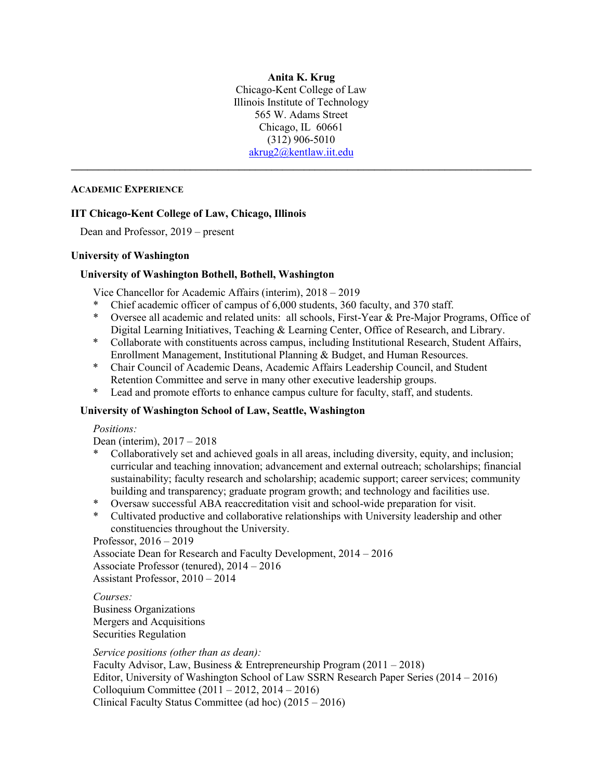# **Anita K. Krug**

Chicago-Kent College of Law Illinois Institute of Technology 565 W. Adams Street Chicago, IL 60661 (312) 906-5010 [akrug2@kentlaw.iit.edu](mailto:akrug2@kentlaw.iit.edu)

**\_\_\_\_\_\_\_\_\_\_\_\_\_\_\_\_\_\_\_\_\_\_\_\_\_\_\_\_\_\_\_\_\_\_\_\_\_\_\_\_\_\_\_\_\_\_\_\_\_\_\_\_\_\_\_\_\_\_\_\_\_\_\_\_\_\_\_\_\_\_\_\_\_\_\_\_\_\_\_\_\_\_\_\_\_**

### **ACADEMIC EXPERIENCE**

# **IIT Chicago-Kent College of Law, Chicago, Illinois**

Dean and Professor, 2019 – present

### **University of Washington**

# **University of Washington Bothell, Bothell, Washington**

Vice Chancellor for Academic Affairs (interim), 2018 – 2019

- \* Chief academic officer of campus of 6,000 students, 360 faculty, and 370 staff.<br>Next Secret all academic and related units: all schools First-Year & Pre-Major Pre
- Oversee all academic and related units: all schools, First-Year & Pre-Major Programs, Office of Digital Learning Initiatives, Teaching & Learning Center, Office of Research, and Library.
- \* Collaborate with constituents across campus, including Institutional Research, Student Affairs, Enrollment Management, Institutional Planning & Budget, and Human Resources.
- \* Chair Council of Academic Deans, Academic Affairs Leadership Council, and Student Retention Committee and serve in many other executive leadership groups.
- \* Lead and promote efforts to enhance campus culture for faculty, staff, and students.

# **University of Washington School of Law, Seattle, Washington**

*Positions:*

Dean (interim), 2017 – 2018

- Collaboratively set and achieved goals in all areas, including diversity, equity, and inclusion; curricular and teaching innovation; advancement and external outreach; scholarships; financial sustainability; faculty research and scholarship; academic support; career services; community building and transparency; graduate program growth; and technology and facilities use.
- Oversaw successful ABA reaccreditation visit and school-wide preparation for visit.
- Cultivated productive and collaborative relationships with University leadership and other constituencies throughout the University.

#### Professor, 2016 – 2019

Associate Dean for Research and Faculty Development, 2014 – 2016 Associate Professor (tenured), 2014 – 2016 Assistant Professor, 2010 – 2014

*Courses:*  Business Organizations Mergers and Acquisitions Securities Regulation

*Service positions (other than as dean):* 

Faculty Advisor, Law, Business & Entrepreneurship Program  $(2011 - 2018)$ Editor, University of Washington School of Law SSRN Research Paper Series (2014 – 2016) Colloquium Committee (2011 – 2012, 2014 – 2016) Clinical Faculty Status Committee (ad hoc) (2015 – 2016)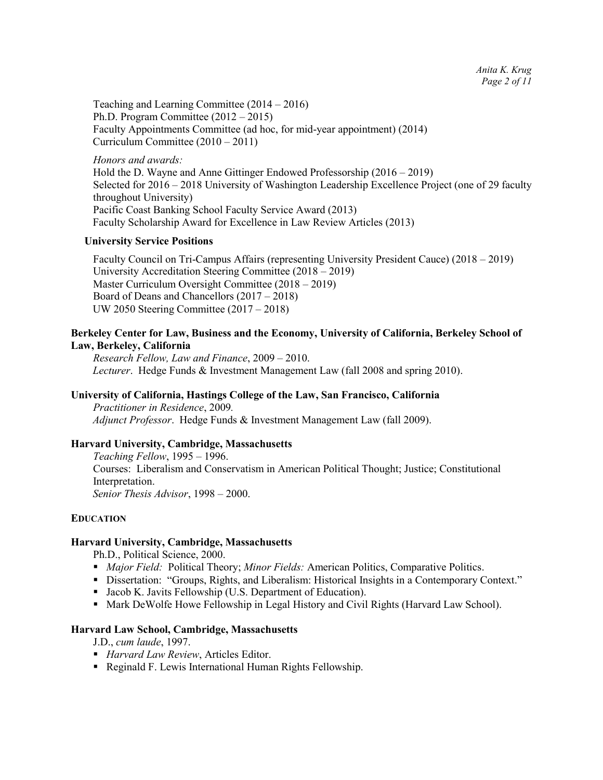Teaching and Learning Committee (2014 – 2016) Ph.D. Program Committee (2012 *–* 2015) Faculty Appointments Committee (ad hoc, for mid-year appointment) (2014) Curriculum Committee (2010 – 2011)

*Honors and awards:*  Hold the D. Wayne and Anne Gittinger Endowed Professorship (2016 – 2019) Selected for 2016 – 2018 University of Washington Leadership Excellence Project (one of 29 faculty throughout University) Pacific Coast Banking School Faculty Service Award (2013) Faculty Scholarship Award for Excellence in Law Review Articles (2013)

# **University Service Positions**

Faculty Council on Tri-Campus Affairs (representing University President Cauce) (2018 – 2019) University Accreditation Steering Committee (2018 – 2019) Master Curriculum Oversight Committee (2018 – 2019) Board of Deans and Chancellors (2017 – 2018) UW 2050 Steering Committee (2017 – 2018)

# **Berkeley Center for Law, Business and the Economy, University of California, Berkeley School of Law, Berkeley, California**

*Research Fellow, Law and Finance*, 2009 – 2010. *Lecturer*. Hedge Funds & Investment Management Law (fall 2008 and spring 2010).

# **University of California, Hastings College of the Law, San Francisco, California**

*Practitioner in Residence*, 2009*. Adjunct Professor*. Hedge Funds & Investment Management Law (fall 2009).

# **Harvard University, Cambridge, Massachusetts**

*Teaching Fellow*, 1995 – 1996. Courses: Liberalism and Conservatism in American Political Thought; Justice; Constitutional Interpretation. *Senior Thesis Advisor*, 1998 – 2000.

# **EDUCATION**

# **Harvard University, Cambridge, Massachusetts**

Ph.D., Political Science, 2000.

- *Major Field:* Political Theory; *Minor Fields:* American Politics, Comparative Politics.
- Dissertation: "Groups, Rights, and Liberalism: Historical Insights in a Contemporary Context."
- Jacob K. Javits Fellowship (U.S. Department of Education).
- Mark DeWolfe Howe Fellowship in Legal History and Civil Rights (Harvard Law School).

# **Harvard Law School, Cambridge, Massachusetts**

- J.D., *cum laude*, 1997.
- *Harvard Law Review*, Articles Editor.
- Reginald F. Lewis International Human Rights Fellowship.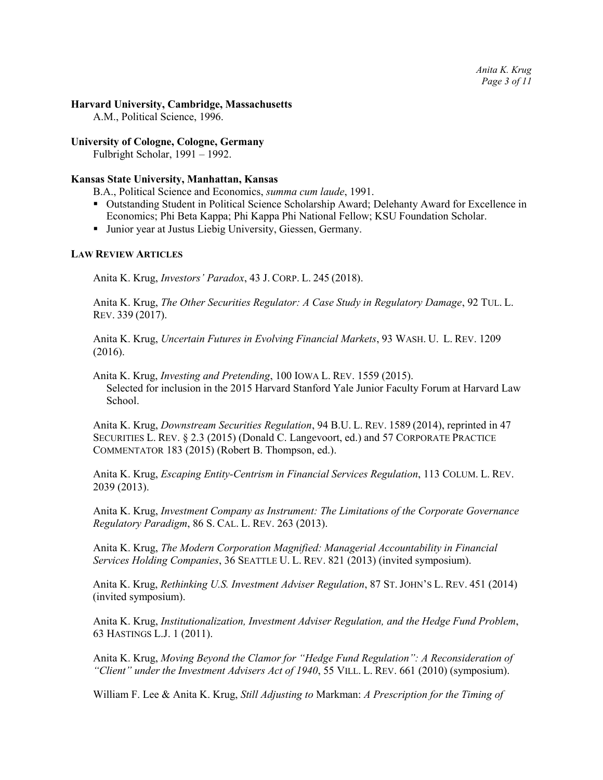#### **Harvard University, Cambridge, Massachusetts**

A.M., Political Science, 1996.

#### **University of Cologne, Cologne, Germany**

Fulbright Scholar, 1991 – 1992.

#### **Kansas State University, Manhattan, Kansas**

B.A., Political Science and Economics, *summa cum laude*, 1991.

- Outstanding Student in Political Science Scholarship Award; Delehanty Award for Excellence in Economics; Phi Beta Kappa; Phi Kappa Phi National Fellow; KSU Foundation Scholar.
- Junior year at Justus Liebig University, Giessen, Germany.

### **LAW REVIEW ARTICLES**

Anita K. Krug, *Investors' Paradox*, 43 J. CORP. L. 245 (2018).

Anita K. Krug, *The Other Securities Regulator: A Case Study in Regulatory Damage*, 92 TUL. L. REV. 339 (2017).

Anita K. Krug, *Uncertain Futures in Evolving Financial Markets*, 93 WASH. U. L. REV. 1209 (2016).

Anita K. Krug, *Investing and Pretending*, 100 IOWA L. REV. 1559 (2015). Selected for inclusion in the 2015 Harvard Stanford Yale Junior Faculty Forum at Harvard Law School.

Anita K. Krug, *Downstream Securities Regulation*, 94 B.U. L. REV. 1589 (2014), reprinted in 47 SECURITIES L. REV. § 2.3 (2015) (Donald C. Langevoort, ed.) and 57 CORPORATE PRACTICE COMMENTATOR 183 (2015) (Robert B. Thompson, ed.).

Anita K. Krug, *Escaping Entity-Centrism in Financial Services Regulation*, 113 COLUM. L. REV. 2039 (2013).

Anita K. Krug, *Investment Company as Instrument: The Limitations of the Corporate Governance Regulatory Paradigm*, 86 S. CAL. L. REV. 263 (2013).

Anita K. Krug, *[The Modern Corporation Magnified: Managerial Accountability in Financial](http://ssrn.com/abstract=2131454)  [Services Holding Companies](http://ssrn.com/abstract=2131454)*, 36 SEATTLE U. L. REV. 821 (2013) (invited symposium).

Anita K. Krug, *Rethinking U.S. Investment Adviser Regulation*, 87 ST. JOHN'S L. REV. 451 (2014) (invited symposium).

Anita K. Krug, *Institutionalization, Investment Adviser Regulation, and the Hedge Fund Problem*, 63 HASTINGS L.J. 1 (2011).

Anita K. Krug, *Moving Beyond the Clamor for "Hedge Fund Regulation": A Reconsideration of "Client" under the Investment Advisers Act of 1940*, 55 VILL. L. REV. 661 (2010) (symposium).

William F. Lee & Anita K. Krug, *Still Adjusting to* Markman: *A Prescription for the Timing of*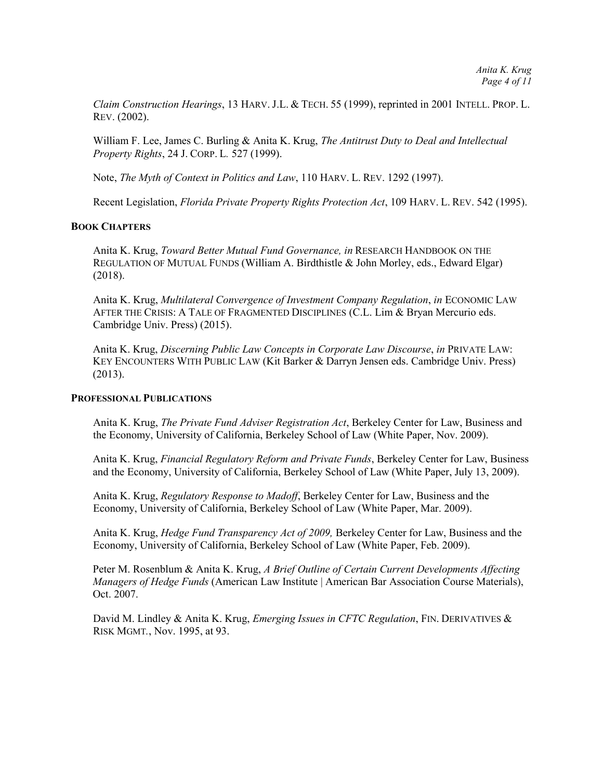*Claim Construction Hearings*, 13 HARV. J.L. & TECH. 55 (1999), reprinted in 2001 INTELL. PROP. L. REV. (2002).

William F. Lee, James C. Burling & Anita K. Krug, *The Antitrust Duty to Deal and Intellectual Property Rights*, 24 J. CORP. L*.* 527 (1999).

Note, *The Myth of Context in Politics and Law*, 110 HARV. L. REV. 1292 (1997).

Recent Legislation, *Florida Private Property Rights Protection Act*, 109 HARV. L. REV. 542 (1995).

### **BOOK CHAPTERS**

Anita K. Krug, *Toward Better Mutual Fund Governance, in* RESEARCH HANDBOOK ON THE REGULATION OF MUTUAL FUNDS (William A. Birdthistle & John Morley, eds., Edward Elgar) (2018).

Anita K. Krug, *Multilateral Convergence of Investment Company Regulation*, *in* ECONOMIC LAW AFTER THE CRISIS: A TALE OF FRAGMENTED DISCIPLINES (C.L. Lim & Bryan Mercurio eds. Cambridge Univ. Press) (2015).

Anita K. Krug, *Discerning Public Law Concepts in Corporate Law Discourse*, *in* PRIVATE LAW: KEY ENCOUNTERS WITH PUBLIC LAW (Kit Barker & Darryn Jensen eds. Cambridge Univ. Press) (2013).

# **PROFESSIONAL PUBLICATIONS**

Anita K. Krug, *The Private Fund Adviser Registration Act*, Berkeley Center for Law, Business and the Economy, University of California, Berkeley School of Law (White Paper, Nov. 2009).

Anita K. Krug, *Financial Regulatory Reform and Private Funds*, Berkeley Center for Law, Business and the Economy, University of California, Berkeley School of Law (White Paper, July 13, 2009).

Anita K. Krug, *Regulatory Response to Madoff*, Berkeley Center for Law, Business and the Economy, University of California, Berkeley School of Law (White Paper, Mar. 2009).

Anita K. Krug, *Hedge Fund Transparency Act of 2009,* Berkeley Center for Law, Business and the Economy, University of California, Berkeley School of Law (White Paper, Feb. 2009).

Peter M. Rosenblum & Anita K. Krug, *A Brief Outline of Certain Current Developments Affecting Managers of Hedge Funds* (American Law Institute | American Bar Association Course Materials), Oct. 2007.

David M. Lindley & Anita K. Krug, *Emerging Issues in CFTC Regulation*, FIN. DERIVATIVES & RISK MGMT*.*, Nov. 1995, at 93.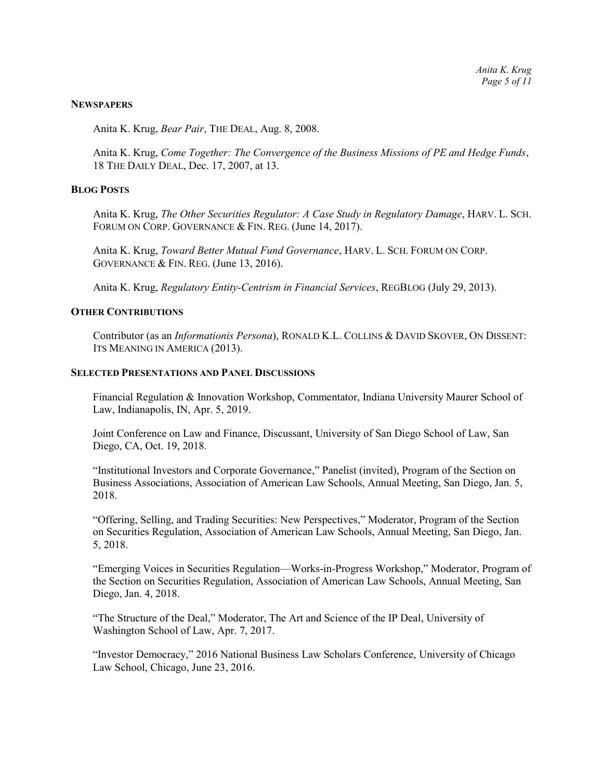#### **NEWSPAPERS**

Anita K. Krug, *Bear Pair*, THE DEAL, Aug. 8, 2008.

Anita K. Krug, *Come Together: The Convergence of the Business Missions of PE and Hedge Funds*, 18 THE DAILY DEAL, Dec. 17, 2007, at 13.

#### **BLOG POSTS**

Anita K. Krug, *The Other Securities Regulator: A Case Study in Regulatory Damage*, HARV. L. SCH. FORUM ON CORP. GOVERNANCE & FIN. REG. (June 14, 2017).

Anita K. Krug, *Toward Better Mutual Fund Governance*, HARV. L. SCH. FORUM ON CORP. GOVERNANCE & FIN. REG. (June 13, 2016).

Anita K. Krug, *[Regulatory Entity-Centrism in Financial Services](http://www.regblog.org/2013/07/29-krug-entity-centrism.html)*, REGBLOG (July 29, 2013).

#### **OTHER CONTRIBUTIONS**

Contributor (as an *Informationis Persona*), RONALD K.L. COLLINS & DAVID SKOVER, ON DISSENT: ITS MEANING IN AMERICA (2013).

### **SELECTED PRESENTATIONS AND PANEL DISCUSSIONS**

Financial Regulation & Innovation Workshop, Commentator, Indiana University Maurer School of Law, Indianapolis, IN, Apr. 5, 2019.

Joint Conference on Law and Finance, Discussant, University of San Diego School of Law, San Diego, CA, Oct. 19, 2018.

"Institutional Investors and Corporate Governance," Panelist (invited), Program of the Section on Business Associations, Association of American Law Schools, Annual Meeting, San Diego, Jan. 5, 2018.

"Offering, Selling, and Trading Securities: New Perspectives," Moderator, Program of the Section on Securities Regulation, Association of American Law Schools, Annual Meeting, San Diego, Jan. 5, 2018.

"Emerging Voices in Securities Regulation—Works-in-Progress Workshop," Moderator, Program of the Section on Securities Regulation, Association of American Law Schools, Annual Meeting, San Diego, Jan. 4, 2018.

"The Structure of the Deal," Moderator, The Art and Science of the IP Deal, University of Washington School of Law, Apr. 7, 2017.

"Investor Democracy," 2016 National Business Law Scholars Conference, University of Chicago Law School, Chicago, June 23, 2016.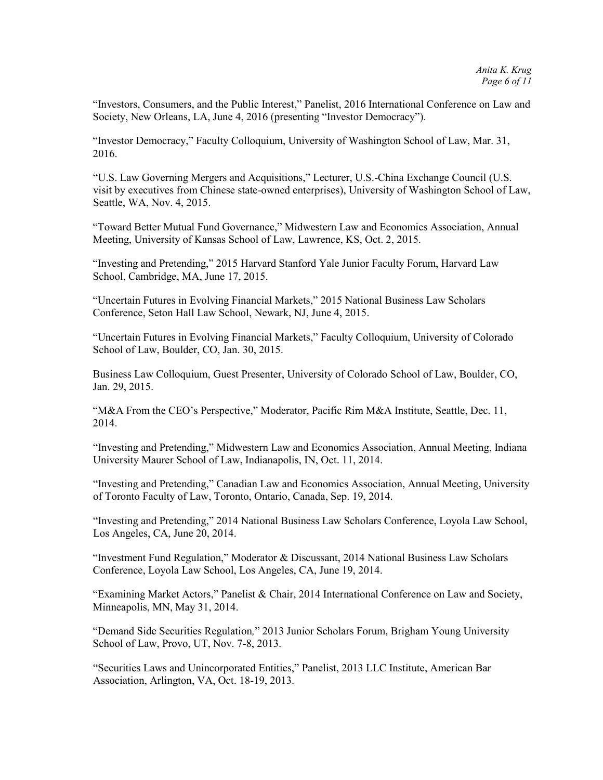"Investors, Consumers, and the Public Interest," Panelist, 2016 International Conference on Law and Society, New Orleans, LA, June 4, 2016 (presenting "Investor Democracy").

"Investor Democracy," Faculty Colloquium, University of Washington School of Law, Mar. 31, 2016.

"U.S. Law Governing Mergers and Acquisitions," Lecturer, U.S.-China Exchange Council (U.S. visit by executives from Chinese state-owned enterprises), University of Washington School of Law, Seattle, WA, Nov. 4, 2015.

"Toward Better Mutual Fund Governance," Midwestern Law and Economics Association, Annual Meeting, University of Kansas School of Law, Lawrence, KS, Oct. 2, 2015.

"Investing and Pretending," 2015 Harvard Stanford Yale Junior Faculty Forum, Harvard Law School, Cambridge, MA, June 17, 2015.

"Uncertain Futures in Evolving Financial Markets," 2015 National Business Law Scholars Conference, Seton Hall Law School, Newark, NJ, June 4, 2015.

"Uncertain Futures in Evolving Financial Markets," Faculty Colloquium, University of Colorado School of Law, Boulder, CO, Jan. 30, 2015.

Business Law Colloquium, Guest Presenter, University of Colorado School of Law, Boulder, CO, Jan. 29, 2015.

"M&A From the CEO's Perspective," Moderator, Pacific Rim M&A Institute, Seattle, Dec. 11, 2014.

"Investing and Pretending," Midwestern Law and Economics Association, Annual Meeting, Indiana University Maurer School of Law, Indianapolis, IN, Oct. 11, 2014.

"Investing and Pretending," Canadian Law and Economics Association, Annual Meeting, University of Toronto Faculty of Law, Toronto, Ontario, Canada, Sep. 19, 2014.

"Investing and Pretending," 2014 National Business Law Scholars Conference, Loyola Law School, Los Angeles, CA, June 20, 2014.

"Investment Fund Regulation," Moderator & Discussant, 2014 National Business Law Scholars Conference, Loyola Law School, Los Angeles, CA, June 19, 2014.

"Examining Market Actors," Panelist & Chair, 2014 International Conference on Law and Society, Minneapolis, MN, May 31, 2014.

"Demand Side Securities Regulation*,*" 2013 Junior Scholars Forum, Brigham Young University School of Law, Provo, UT, Nov. 7-8, 2013.

"Securities Laws and Unincorporated Entities," Panelist, 2013 LLC Institute, American Bar Association, Arlington, VA, Oct. 18-19, 2013.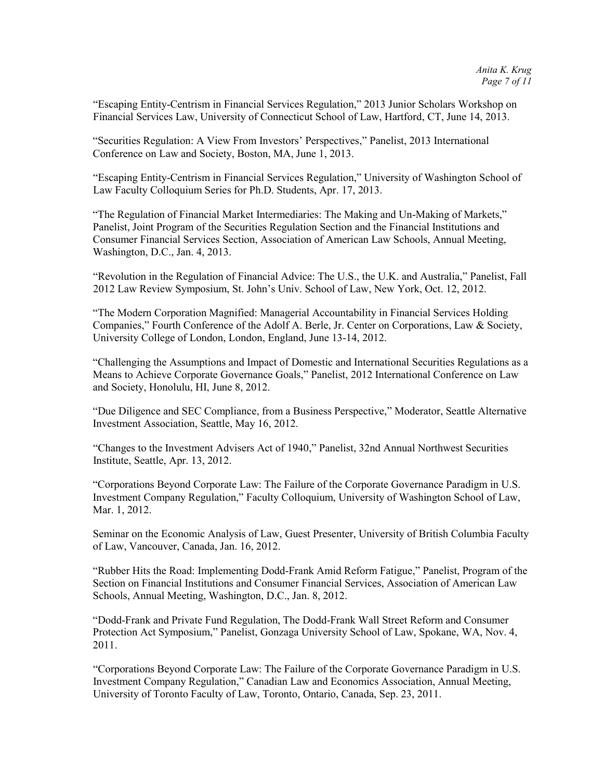"Escaping Entity-Centrism in Financial Services Regulation," 2013 Junior Scholars Workshop on Financial Services Law, University of Connecticut School of Law, Hartford, CT, June 14, 2013.

"Securities Regulation: A View From Investors' Perspectives," Panelist, 2013 International Conference on Law and Society, Boston, MA, June 1, 2013.

"Escaping Entity-Centrism in Financial Services Regulation," University of Washington School of Law Faculty Colloquium Series for Ph.D. Students, Apr. 17, 2013.

"The Regulation of Financial Market Intermediaries: The Making and Un-Making of Markets," Panelist, Joint Program of the Securities Regulation Section and the Financial Institutions and Consumer Financial Services Section, Association of American Law Schools, Annual Meeting, Washington, D.C., Jan. 4, 2013.

"Revolution in the Regulation of Financial Advice: The U.S., the U.K. and Australia," Panelist, Fall 2012 Law Review Symposium, St. John's Univ. School of Law, New York, Oct. 12, 2012.

"The Modern Corporation Magnified: Managerial Accountability in Financial Services Holding Companies," Fourth Conference of the Adolf A. Berle, Jr. Center on Corporations, Law & Society, University College of London, London, England, June 13-14, 2012.

"Challenging the Assumptions and Impact of Domestic and International Securities Regulations as a Means to Achieve Corporate Governance Goals," Panelist, 2012 International Conference on Law and Society, Honolulu, HI, June 8, 2012.

"Due Diligence and SEC Compliance, from a Business Perspective," Moderator, Seattle Alternative Investment Association, Seattle, May 16, 2012.

"Changes to the Investment Advisers Act of 1940," Panelist, 32nd Annual Northwest Securities Institute, Seattle, Apr. 13, 2012.

"Corporations Beyond Corporate Law: The Failure of the Corporate Governance Paradigm in U.S. Investment Company Regulation," Faculty Colloquium, University of Washington School of Law, Mar. 1, 2012.

Seminar on the Economic Analysis of Law, Guest Presenter, University of British Columbia Faculty of Law, Vancouver, Canada, Jan. 16, 2012.

"Rubber Hits the Road: Implementing Dodd-Frank Amid Reform Fatigue," Panelist, Program of the Section on Financial Institutions and Consumer Financial Services, Association of American Law Schools, Annual Meeting, Washington, D.C., Jan. 8, 2012.

"Dodd-Frank and Private Fund Regulation, The Dodd-Frank Wall Street Reform and Consumer Protection Act Symposium," Panelist, Gonzaga University School of Law, Spokane, WA, Nov. 4, 2011.

"Corporations Beyond Corporate Law: The Failure of the Corporate Governance Paradigm in U.S. Investment Company Regulation," Canadian Law and Economics Association, Annual Meeting, University of Toronto Faculty of Law, Toronto, Ontario, Canada, Sep. 23, 2011.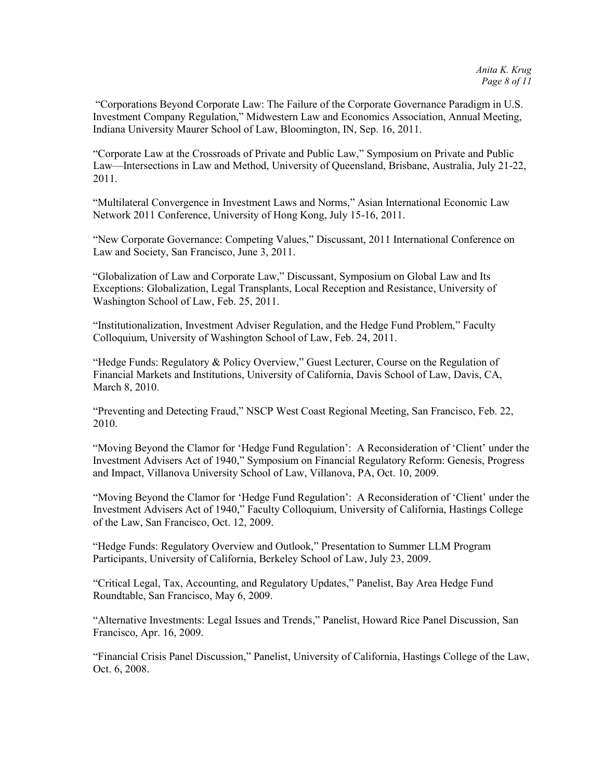"Corporations Beyond Corporate Law: The Failure of the Corporate Governance Paradigm in U.S. Investment Company Regulation," Midwestern Law and Economics Association, Annual Meeting, Indiana University Maurer School of Law, Bloomington, IN, Sep. 16, 2011.

"Corporate Law at the Crossroads of Private and Public Law," Symposium on Private and Public Law—Intersections in Law and Method, University of Queensland, Brisbane, Australia, July 21-22, 2011.

"Multilateral Convergence in Investment Laws and Norms," Asian International Economic Law Network 2011 Conference, University of Hong Kong, July 15-16, 2011.

"New Corporate Governance: Competing Values," Discussant, 2011 International Conference on Law and Society, San Francisco, June 3, 2011.

"Globalization of Law and Corporate Law," Discussant, Symposium on Global Law and Its Exceptions: Globalization, Legal Transplants, Local Reception and Resistance, University of Washington School of Law, Feb. 25, 2011.

"Institutionalization, Investment Adviser Regulation, and the Hedge Fund Problem," Faculty Colloquium, University of Washington School of Law, Feb. 24, 2011.

"Hedge Funds: Regulatory & Policy Overview," Guest Lecturer, Course on the Regulation of Financial Markets and Institutions, University of California, Davis School of Law, Davis, CA, March 8, 2010.

"Preventing and Detecting Fraud," NSCP West Coast Regional Meeting, San Francisco, Feb. 22, 2010.

"Moving Beyond the Clamor for 'Hedge Fund Regulation': A Reconsideration of 'Client' under the Investment Advisers Act of 1940," Symposium on Financial Regulatory Reform: Genesis, Progress and Impact, Villanova University School of Law, Villanova, PA, Oct. 10, 2009.

"Moving Beyond the Clamor for 'Hedge Fund Regulation': A Reconsideration of 'Client' under the Investment Advisers Act of 1940," Faculty Colloquium, University of California, Hastings College of the Law, San Francisco, Oct. 12, 2009.

"Hedge Funds: Regulatory Overview and Outlook," Presentation to Summer LLM Program Participants, University of California, Berkeley School of Law, July 23, 2009.

"Critical Legal, Tax, Accounting, and Regulatory Updates," Panelist, Bay Area Hedge Fund Roundtable, San Francisco, May 6, 2009.

"Alternative Investments: Legal Issues and Trends," Panelist, Howard Rice Panel Discussion, San Francisco, Apr. 16, 2009.

"Financial Crisis Panel Discussion," Panelist, University of California, Hastings College of the Law, Oct. 6, 2008.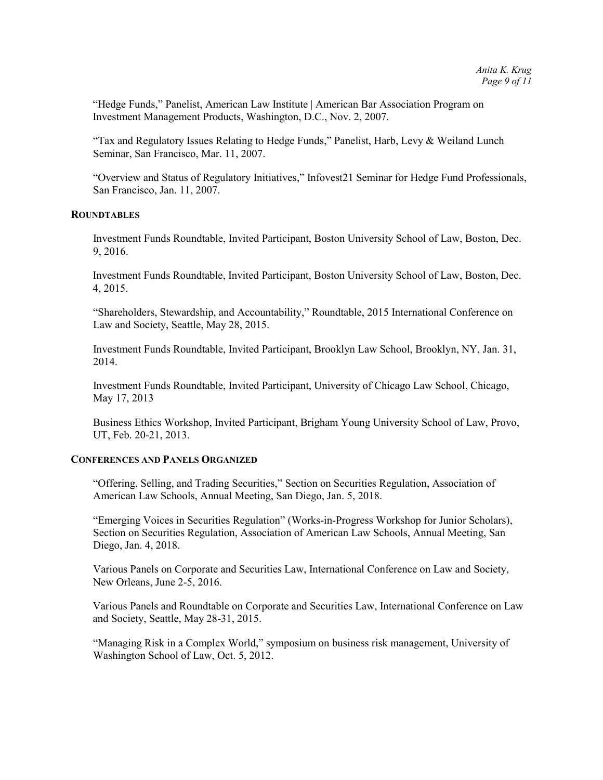"Hedge Funds," Panelist, American Law Institute | American Bar Association Program on Investment Management Products, Washington, D.C., Nov. 2, 2007.

"Tax and Regulatory Issues Relating to Hedge Funds," Panelist, Harb, Levy & Weiland Lunch Seminar, San Francisco, Mar. 11, 2007.

"Overview and Status of Regulatory Initiatives," Infovest21 Seminar for Hedge Fund Professionals, San Francisco, Jan. 11, 2007.

#### **ROUNDTABLES**

Investment Funds Roundtable, Invited Participant, Boston University School of Law, Boston, Dec. 9, 2016.

Investment Funds Roundtable, Invited Participant, Boston University School of Law, Boston, Dec. 4, 2015.

"Shareholders, Stewardship, and Accountability," Roundtable, 2015 International Conference on Law and Society, Seattle, May 28, 2015.

Investment Funds Roundtable, Invited Participant, Brooklyn Law School, Brooklyn, NY, Jan. 31, 2014.

Investment Funds Roundtable, Invited Participant, University of Chicago Law School, Chicago, May 17, 2013

Business Ethics Workshop, Invited Participant, Brigham Young University School of Law, Provo, UT, Feb. 20-21, 2013.

### **CONFERENCES AND PANELS ORGANIZED**

"Offering, Selling, and Trading Securities," Section on Securities Regulation, Association of American Law Schools, Annual Meeting, San Diego, Jan. 5, 2018.

"Emerging Voices in Securities Regulation" (Works-in-Progress Workshop for Junior Scholars), Section on Securities Regulation, Association of American Law Schools, Annual Meeting, San Diego, Jan. 4, 2018.

Various Panels on Corporate and Securities Law, International Conference on Law and Society, New Orleans, June 2-5, 2016.

Various Panels and Roundtable on Corporate and Securities Law, International Conference on Law and Society, Seattle, May 28-31, 2015.

"Managing Risk in a Complex World," symposium on business risk management, University of Washington School of Law, Oct. 5, 2012.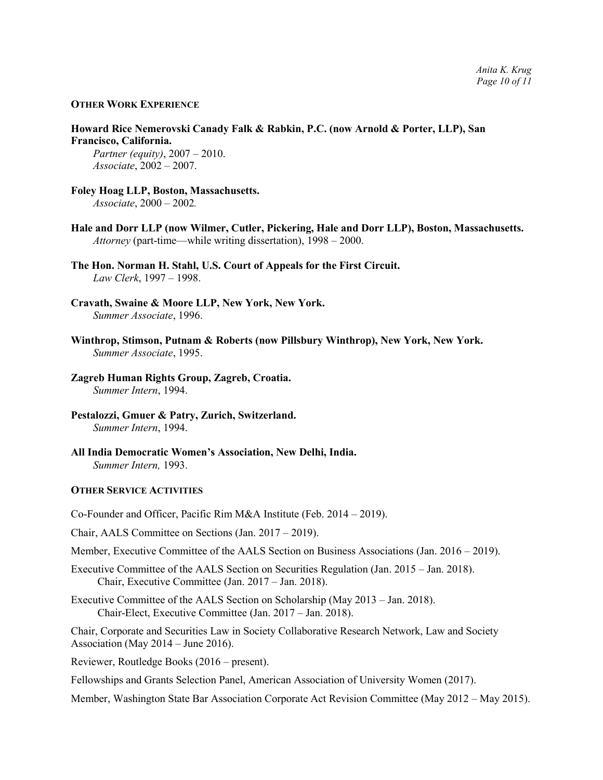#### **OTHER WORK EXPERIENCE**

**Howard Rice Nemerovski Canady Falk & Rabkin, P.C. (now Arnold & Porter, LLP), San Francisco, California.**

*Partner (equity)*, 2007 – 2010. *Associate*, 2002 – 2007.

**Foley Hoag LLP, Boston, Massachusetts.** *Associate*, 2000 – 2002*.*

**Hale and Dorr LLP (now Wilmer, Cutler, Pickering, Hale and Dorr LLP), Boston, Massachusetts.** *Attorney* (part-time—while writing dissertation), 1998 – 2000.

**The Hon. Norman H. Stahl, U.S. Court of Appeals for the First Circuit.** *Law Clerk*, 1997 – 1998.

**Cravath, Swaine & Moore LLP, New York, New York.** *Summer Associate*, 1996.

- **Winthrop, Stimson, Putnam & Roberts (now Pillsbury Winthrop), New York, New York.**  *Summer Associate*, 1995.
- **Zagreb Human Rights Group, Zagreb, Croatia.**  *Summer Intern*, 1994.

**Pestalozzi, Gmuer & Patry, Zurich, Switzerland.**  *Summer Intern*, 1994.

**All India Democratic Women's Association, New Delhi, India.**  *Summer Intern,* 1993.

#### **OTHER SERVICE ACTIVITIES**

Co-Founder and Officer, Pacific Rim M&A Institute (Feb. 2014 – 2019).

Chair, AALS Committee on Sections (Jan. 2017 – 2019).

Member, Executive Committee of the AALS Section on Business Associations (Jan. 2016 – 2019).

Executive Committee of the AALS Section on Securities Regulation (Jan. 2015 – Jan. 2018). Chair, Executive Committee (Jan. 2017 – Jan. 2018).

Executive Committee of the AALS Section on Scholarship (May 2013 – Jan. 2018). Chair-Elect, Executive Committee (Jan. 2017 – Jan. 2018).

Chair, Corporate and Securities Law in Society Collaborative Research Network, Law and Society Association (May 2014 – June 2016).

Reviewer, Routledge Books (2016 – present).

Fellowships and Grants Selection Panel, American Association of University Women (2017).

Member, Washington State Bar Association Corporate Act Revision Committee (May 2012 – May 2015).